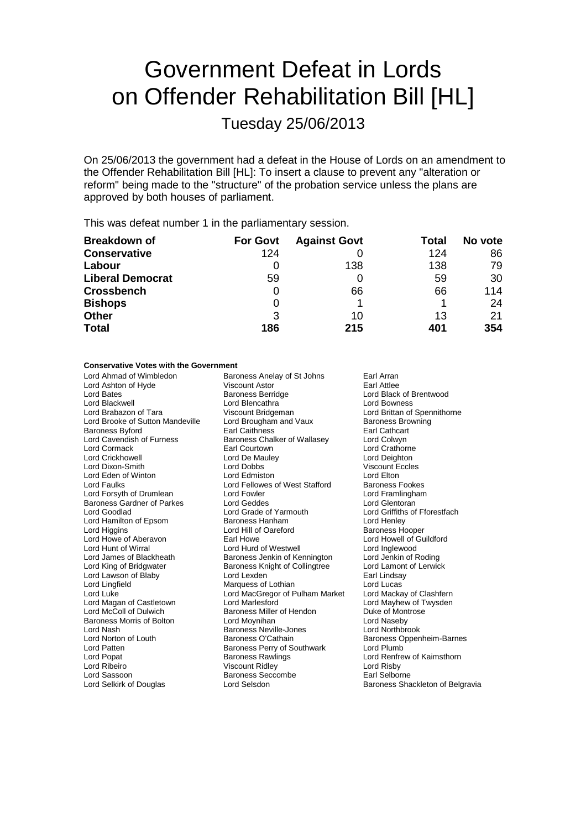# Government Defeat in Lords on Offender Rehabilitation Bill [HL]

Tuesday 25/06/2013

On 25/06/2013 the government had a defeat in the House of Lords on an amendment to the Offender Rehabilitation Bill [HL]: To insert a clause to prevent any "alteration or reform" being made to the "structure" of the probation service unless the plans are approved by both houses of parliament.

This was defeat number 1 in the parliamentary session.

| <b>Breakdown of</b>     | <b>For Govt</b> | <b>Against Govt</b> | Total | No vote |
|-------------------------|-----------------|---------------------|-------|---------|
| <b>Conservative</b>     | 124             |                     | 124   | 86      |
| Labour                  |                 | 138                 | 138   | 79      |
| <b>Liberal Democrat</b> | 59              |                     | 59    | 30      |
| <b>Crossbench</b>       | 0               | 66                  | 66    | 114     |
| <b>Bishops</b>          | 0               |                     |       | 24      |
| <b>Other</b>            | 3               | 10                  | 13    | 21      |
| <b>Total</b>            | 186             | 215                 | 401   | 354     |

#### **Conservative Votes with the Government**

| Lord Ahmad of Wimbledon           | Baroness Anelay of St Johns<br>Earl Arran          |                                  |
|-----------------------------------|----------------------------------------------------|----------------------------------|
| Lord Ashton of Hyde               | <b>Viscount Astor</b><br>Earl Attlee               |                                  |
| Lord Bates                        | <b>Baroness Berridge</b>                           | Lord Black of Brentwood          |
| Lord Blackwell                    | Lord Blencathra                                    | <b>Lord Bowness</b>              |
| Lord Brabazon of Tara             | Viscount Bridgeman                                 | Lord Brittan of Spennithorne     |
| Lord Brooke of Sutton Mandeville  | Lord Brougham and Vaux<br><b>Baroness Browning</b> |                                  |
| Baroness Byford                   | <b>Earl Caithness</b>                              | Earl Cathcart                    |
| Lord Cavendish of Furness         | Baroness Chalker of Wallasey                       | Lord Colwyn                      |
| Lord Cormack                      | Earl Courtown                                      | Lord Crathorne                   |
| <b>Lord Crickhowell</b>           | Lord De Mauley                                     | Lord Deighton                    |
| Lord Dixon-Smith                  | Lord Dobbs                                         | <b>Viscount Eccles</b>           |
| Lord Eden of Winton               | Lord Edmiston                                      | Lord Elton                       |
| <b>Lord Faulks</b>                | Lord Fellowes of West Stafford                     | <b>Baroness Fookes</b>           |
| Lord Forsyth of Drumlean          | Lord Fowler                                        | Lord Framlingham                 |
| <b>Baroness Gardner of Parkes</b> | Lord Geddes                                        | Lord Glentoran                   |
| Lord Goodlad                      | Lord Grade of Yarmouth                             | Lord Griffiths of Fforestfach    |
| Lord Hamilton of Epsom            | Baroness Hanham                                    | Lord Henley                      |
| Lord Higgins                      | Lord Hill of Oareford                              | <b>Baroness Hooper</b>           |
| Lord Howe of Aberavon             | Earl Howe                                          | Lord Howell of Guildford         |
| Lord Hunt of Wirral               | Lord Hurd of Westwell                              | Lord Inglewood                   |
| Lord James of Blackheath          | Baroness Jenkin of Kennington                      | Lord Jenkin of Roding            |
| Lord King of Bridgwater           | Baroness Knight of Collingtree                     | Lord Lamont of Lerwick           |
| Lord Lawson of Blaby              | Lord Lexden                                        | Earl Lindsay                     |
| Lord Lingfield                    | Marquess of Lothian                                | Lord Lucas                       |
| Lord Luke                         | Lord MacGregor of Pulham Market                    | Lord Mackay of Clashfern         |
| Lord Magan of Castletown          | Lord Marlesford                                    | Lord Mayhew of Twysden           |
| Lord McColl of Dulwich            | Baroness Miller of Hendon                          | Duke of Montrose                 |
| Baroness Morris of Bolton         | Lord Moynihan                                      | Lord Naseby                      |
| Lord Nash                         | Baroness Neville-Jones                             | Lord Northbrook                  |
| Lord Norton of Louth              | Baroness O'Cathain                                 | Baroness Oppenheim-Barnes        |
| Lord Patten                       | Baroness Perry of Southwark                        | Lord Plumb                       |
| Lord Popat                        | <b>Baroness Rawlings</b>                           | Lord Renfrew of Kaimsthorn       |
| Lord Ribeiro                      | <b>Viscount Ridley</b>                             | Lord Risby                       |
| Lord Sassoon                      | <b>Baroness Seccombe</b>                           | Earl Selborne                    |
| Lord Selkirk of Douglas           | Lord Selsdon                                       | Baroness Shackleton of Belgravia |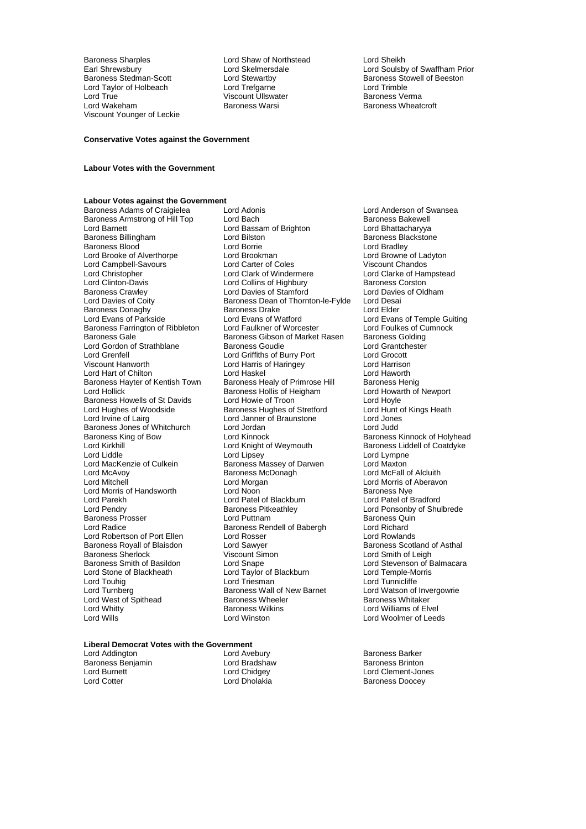Baroness Sharples **Examples** Lord Shaw of Northstead **Lord Sheikh**<br>
Lord Shewsbury **Lord Sheikhersdale** Lord Soulsb Lord Taylor of Holbeach Lord Trefgarne Lord Trimble Lord True Viscount Ullswater Baroness Verma Viscount Younger of Leckie

Earl Shrewsbury **Lord Skelmersdale** Mark Lord Soulsby of Swaffham Prior<br>
Baroness Stedman-Scott **Lord Stewartby** Cord Stewarth Baroness Stowell of Beeston Lord Stewartby **Baroness Stowell of Beeston**<br>
Baroness Stowell of Beeston<br>
Lord Trimble Baroness Wheatcroft

#### **Conservative Votes against the Government**

#### **Labour Votes with the Government**

## **Labour Votes against the Government**

Lord Barnett Lord Bassam of Brighton<br>
Baroness Billingham<br>
Lord Bilston Baroness Donaghy<br>
Baroness Donaghy<br>
Lord Evans of Parkside<br>
Lord Evans of Watford Baroness Hayter of Kentish Town Baroness Healy of Primrose Hill<br>Lord Hollick Baroness Hollis of Heigham Baroness Jones of Whitchurch<br>Baroness King of Bow Lord Kinnock Lord MacKenzie of Culkein Baroness Massey of Darwen<br>
Lord McAvoy Baroness McDonagh Lord Morris of Handsworth Lord Noon<br>
Lord Parekh **Backburn**<br>
Lord Patel of Blackburn Baroness Royall of Blaisdon Lord Sawyer<br>
Baroness Sherlock **Communist Construct** Viscount Simon Lord Touhig Lord Triesman Lord Triesman Lord Touhig<br>
Lord Turnberg Baroness Wall of New Barnet Lord West of Spithead Baroness Wheeler Baroness Wheeler Baroness Wikins Lord Whitty **Communist Communist Communist Communist Communist Communist Communist Communist Communist Communist Communist Communist Communist Communist Communist Communist Communist Communist Communist Communist Communist** 

Baroness Adams of Craigielea Lord Adonis Lord Anderson of Swansea Baroness Armstrong of Hill Top Lord Bach Cord Baroness Bakewell<br>
Lord Barnett Cord Bassam of Brighton Lord Bhattacharyya Lord Bilston **Baroness Blackstone**<br>
Lord Borrie **Baroness Blackstone**<br>
Lord Bradley Baroness Blood **Britannia** Lord Borrie **Container Container Container Container** Lord Bradley<br>
Lord Brooke of Alverthorpe **Lord Brook Lord Brookman** Lord Brooke of Alverthorpe Lord Brookman Lord Brookman Lord Browne of La<br>
Lord Campbell-Savours Lord Carter of Coles Viscount Chandos Lord Campbell-Savours Lord Carter of Coles Viscount Chandos Lord Christopher **Lord Clark of Windermere** Lord Clarke of Han<br>
Lord Clark of Hampstead Lord Collins of Highbury **Colling Clarke Contract Construct** Lord Clinton-Davis **Lord Collins of Highbury** Baroness Corston<br>
Baroness Crawley **Baroness Crawley** Lord Davies of Stamford Lord Davies of Oldham Baroness Crawley **Lord Davies of Stamford** Lord Davies Crawley **Lord Davies Communist Constructs** Lord Desain<br>
Baroness Dean of Thornton-le-Fylde Lord Desain Baroness Dean of Thornton-le-Fylde Lord Desai<br>Baroness Drake Lord Elder Lord Evans of Watford **Lord Evans of Temple Guiting**<br>
Lord Faulkner of Worcester **Lord Foulkes of Cumnock** Baroness Farrington of Ribbleton Lord Faulkner of Worcester Lord Foulkes of Cumnocks Gale<br>Baroness Gale Baroness Gibson of Market Rasen Baroness Golding Baroness Gibson of Market Rasen Baroness Golding<br>Baroness Goudie Baroness Couding Lord Gordon of Strathblane Baroness Goudie Lord Grantchester Lord Grantchester Corp. Exercise Lord Grantchester<br>Corp. Lord Grantshell Lord Grantchester Lord Grant Lord Grantshell Lord Grantshell Lord Grantshell Lord Grants Lord Grenfell Lord Griffiths of Burry Port Lord Grocott Lord Harris of Haringey **Lord Harrison**<br>
Lord Haskel **Lord Harrison** Lord Hart of Chilton **Lord Haskel** Lord Haskel Lord Haworth Lord Haworth Baroness Hayter of Kentish Town Baroness Healy of Primrose Hill Baroness Henig<br>Lord Hollick **Lord Hollick** Baroness Hollis of Heigham Lord Howarth of Baroness Hollis of Heigham Lord Howarth Lord Howarth Cord Hoyle<br>
Lord Howie of Troon Baroness Howells of St Davids<br>
Lord Hughes of Woodside Baroness Hughes of Stretford Lord Hunt of Kings Heath Lord Hughes of Woodside Baroness Hughes of Stretford Lord Hunt o<br>
Lord Irvine of Lairg Cord Janner of Braunstone Lord Jones Lord Janner of Braunstone Lord Jones<br>Lord Jordan Lord Judd Baroness King of Bow Lord Kinnock **Baroness Kinnock of Holyhead**<br>
Lord King Lord Kinght of Weymouth Baroness Liddell of Coatdyke Lord Kirkhill Lord Knight of Weymouth Baroness Liddell of Coatdyke<br>Lord Liddle Lord Linsey Lord Linsey Lord Lympne Lord Liddle Lord Lord Lipsey Lord Linguist Lord Lympne<br>
Lord MacKenzie of Culkein Baroness Massey of Darwen Lord Maxton Lord McAvoy Baroness McDonagh Lord McFall of Alcluith Lord Morgan **Lord Morris of Aberavon**<br>
Lord Noon<br>
Baroness Nve Lord Parekh Lord Patel of Blackburn Lord Patel of Bradford Baroness Pitkeathley **Baroness Pitkeathley** Lord Ponsonby of Shulbrede<br>
Lord Puttnam<br>
Baroness Quin Baroness Prosser **Exercise Exercise Contramental Contracts** Baroness Quinter and Baroness Quinter Baroness Quinter<br>
Baroness Rendell of Babergh **Baroness Australian** Eord Richard Lord Radice Baroness Rendell of Babergh Lord Richard Lord Robertson of Port Ellen Lord Rosser Consumersion Corporation Corporation Corporation Corporation Corporation<br>
Lord Samen Lord Sawver Baroness Scotland of Asthal Baroness Sherlock **Communist Communist Communist Communist Communist Communist Communist Communist Communist Communist Communist Communist Communist Communist Communist Communist Communist Communist Communist Communist Com** Lord Snape<br>
Lord Taylor of Blackburn<br>
Lord Temple-Morris Lord Stone of Blackheath Lord Taylor of Blackburn and Lord Temple-Morris Lord Temple-Morris Lord Tunnicliffe<br>
Lord Tord Tunnicliffe Baroness Wall of New Barnet Lord Watson of Invergowrie<br>
Baroness Wheeler<br>
Baroness Whitaker

Lord Woolmer of Leeds

### **Liberal Democrat Votes with the Government**

Lord Addington **Lord Avebury** Christen and Lord Avebury **Baroness Barker**<br>
Baroness Benjamin **Cord Bradshaw** Christen Baroness Brinton Baroness Benjamin and Lord Bradshaw<br>Lord Burnett baroness Baroness Baroness Baroness Baroness Baroness Baroness Baroness Baroness Baroness Barones Lord Burnett **Lord Childgey Community Community Community** Lord Clement-Jones<br>
Lord Cotter Lord Cotter Lord Cholakia **Community Community Community Community** Community Community Community Com

Baroness Doocey